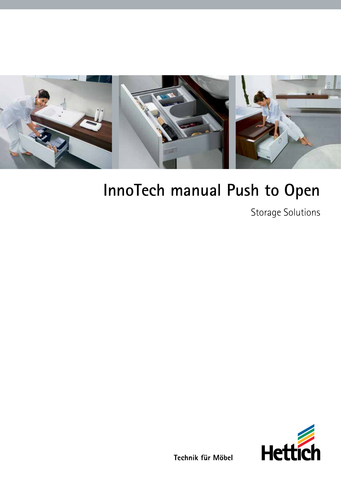

# **InnoTech manual Push to Open**

Storage Solutions



Technik für Möbel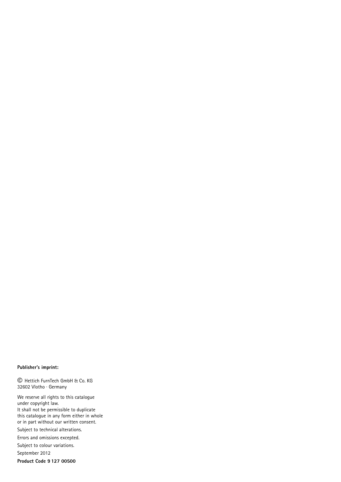#### **Publisher's imprint:**

© Hettich FurnTech GmbH & Co. KG 32602 Vlotho · Germany

We reserve all rights to this catalogue under copyright law. It shall not be permissible to duplicate this catalogue in any form either in whole or in part without our written consent. Subject to technical alterations. Errors and omissions excepted.

Subject to colour variations.

September 2012 **Product Code 9 127 00500**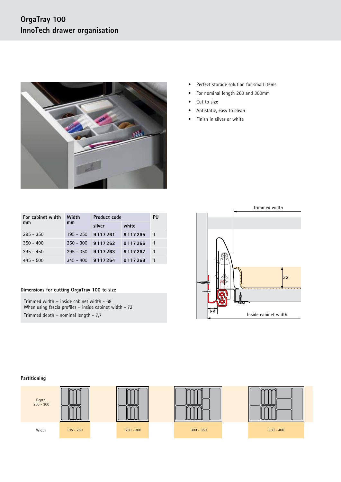# **OrgaTray 100 InnoTech drawer organisation**



- Perfect storage solution for small items
- For nominal length 260 and 300mm
- Cut to size
- Antistatic, easy to clean
- Finish in silver or white

| For cabinet width | Width       | <b>Product code</b> | PU      |  |
|-------------------|-------------|---------------------|---------|--|
| mm                | mm          | silver              | white   |  |
| $295 - 350$       | $195 - 250$ | 9117261             | 9117265 |  |
| $350 - 400$       | $250 - 300$ | 9117262             | 9117266 |  |
| $395 - 450$       | $295 - 350$ | 9117263             | 9117267 |  |
| $445 - 500$       | $345 - 400$ | 9117264             | 9117268 |  |

### **Dimensions for cutting OrgaTray 100 to size**

Trimmed width = inside cabinet width - 68 When using fascia profiles = inside cabinet width - 72 Trimmed depth = nominal length -  $7,7$ 





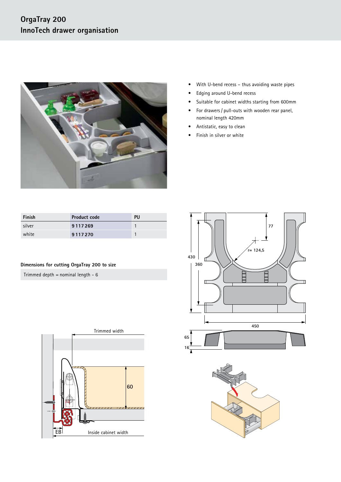

- With U-bend recess thus avoiding waste pipes
- Edging around U-bend recess
- Suitable for cabinet widths starting from 600mm
- For drawers / pull-outs with wooden rear panel, nominal length 420mm
- Antistatic, easy to clean
- Finish in silver or white

| Finish | <b>Product code</b> | PU |
|--------|---------------------|----|
| silver | 9117269             |    |
| white  | 9117270             |    |

## **Dimensions for cutting OrgaTray 200 to size**

Trimmed depth = nominal length -  $6$ 





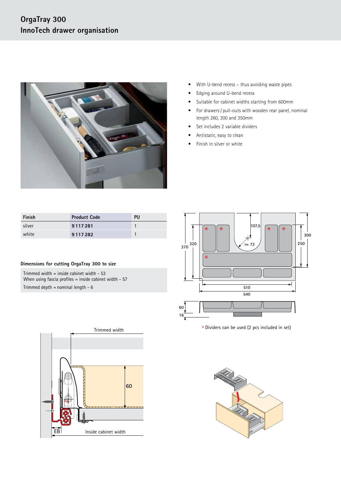

- With U-bend recess thus avoiding waste pipes
- Edging around U-bend recess
- Suitable for cabinet widths starting from 600mm
- For drawers / pull-outs with wooden rear panel, nominal length 260, 300 and 350mm
- Set includes 2 variable dividers
- Antistatic, easy to clean
- Finish in silver or white

| Finish | <b>Product Code</b> | PU |
|--------|---------------------|----|
| silver | 9117281             |    |
| white  | 9 1 1 7 2 8 2       |    |

#### **Dimensions for cutting OrgaTray 300 to size**

Trimmed width = inside cabinet width - 53 When using fascia profiles = inside cabinet width - 57 Trimmed depth = nominal length -  $6$ 



**\*** Dividers can be used (2 pcs included in set)



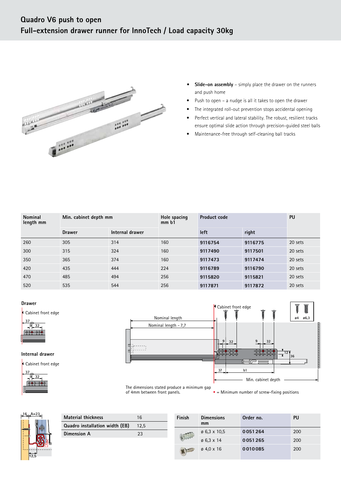

- **• Slide-on assembly** simply place the drawer on the runners and push home
- Push to open a nudge is all it takes to open the drawer
- The integrated roll-out prevention stops accidental opening
- Perfect vertical and lateral stability. The robust, resilient tracks ensure optimal slide action through precision-guided steel balls
- Maintenance-free through self-cleaning ball tracks

| <b>Nominal</b><br>length mm | Min. cabinet depth mm |                 | Hole spacing<br>mm <sub>b1</sub> | <b>Product code</b> |         | <b>PU</b> |
|-----------------------------|-----------------------|-----------------|----------------------------------|---------------------|---------|-----------|
|                             | <b>Drawer</b>         | Internal drawer |                                  | left                | right   |           |
| 260                         | 305                   | 314             | 160                              | 9116754             | 9116775 | 20 sets   |
| 300                         | 315                   | 324             | 160                              | 9117490             | 9117501 | 20 sets   |
| 350                         | 365                   | 374             | 160                              | 9117473             | 9117474 | 20 sets   |
| 420                         | 435                   | 444             | 224                              | 9116789             | 9116790 | 20 sets   |
| 470                         | 485                   | 494             | 256                              | 9115820             | 9115821 | 20 sets   |
| 520                         | 535                   | 544             | 256                              | 9117871             | 9117872 | 20 sets   |

#### **Drawer**



## **Internal drawer**





of 4mm between front panels.

 $\bullet$  = Minimum number of screw-fixing positions



| <b>Material thickness</b>      | 16   |
|--------------------------------|------|
| Quadro installation width (EB) | 12.5 |
| Dimension A                    | 23   |
|                                |      |

| <b>Finish</b> | <b>Dimensions</b><br>mm  | Order no. | PU  |
|---------------|--------------------------|-----------|-----|
|               | $\varnothing$ 6.3 x 10.5 | 0051264   | 200 |
|               | $\varnothing$ 6.3 x 14   | 0051265   | 200 |
|               | $\varnothing$ 4.0 x 16   | 0010085   | 200 |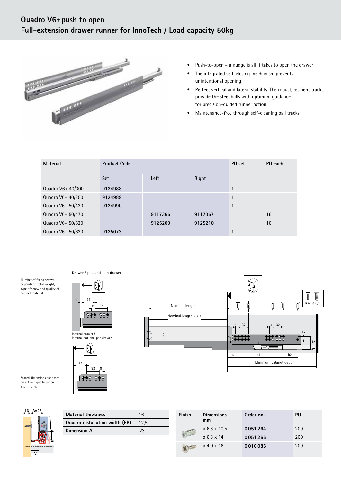# Full-extension drawer runner for InnoTech / Load capacity 50kg **Quadro V6� -- push to open Quadro V6� -- push to open**



- Push-to-open – a nudge is all it takes to open the drawer • Push-to-open – a nudge is all it takes to open the drawer
- unintentional opening unintentional opening • The integrated self-closing mechanism prevents • The integrated self-closing mechanism prevents
- provide the steel balls with optimum guidance: provide the steel balls with optimum guidance: for precision-guided runner action for precision-guided runner action • Perfect vertical and lateral stability. The robust, resilient tracks • Perfect vertical and lateral stability. The robust, resilient tracks
- Maintenance-free through self-cleaning ball tracks • Maintenance-free through self-cleaning ball tracks

| Material          | <b>Product Code</b> |         |         | PU set | PU each |
|-------------------|---------------------|---------|---------|--------|---------|
|                   | <b>Set</b>          | Left    | Right   |        |         |
| Quadro V6+ 40/300 | 9124988             |         |         |        |         |
| Quadro V6+ 40/350 | 9124989             |         |         | 1      |         |
| Quadro V6+ 50/420 | 9124990             |         |         | 1      |         |
| Quadro V6+ 50/470 |                     | 9117366 | 9117367 |        | 16      |
| Quadro V6+ 50/520 |                     | 9125209 | 9125210 |        | 16      |
| Quadro V6+ 50/620 | 9125073             |         |         |        |         |

Number of fixing screws Number of fixing screws depends on total weight, depends on total weight, type of screw and quality of type of screw and quality of cabinet material. cabinet material.



**Drawer / pot-and-pan drawer Drawer / pot-and-pan drawer**



Stated dimensions are based Stated dimensions are based on a 4 mm gap between on a 4 mm gap between front panels. front panels.



| <b>Material thickness</b>      | 16   |
|--------------------------------|------|
| Quadro installation width (EB) | 12.5 |
| Dimension A                    | 23   |

| Finish | <b>Dimensions</b><br>mm  | Order no. | PU  |
|--------|--------------------------|-----------|-----|
|        | $\varnothing$ 6.3 x 10.5 | 0051264   | 200 |
|        | $\varnothing$ 6.3 x 14   | 0051265   | 200 |
|        | $\varnothing$ 4,0 x 16   | 0010085   | 200 |